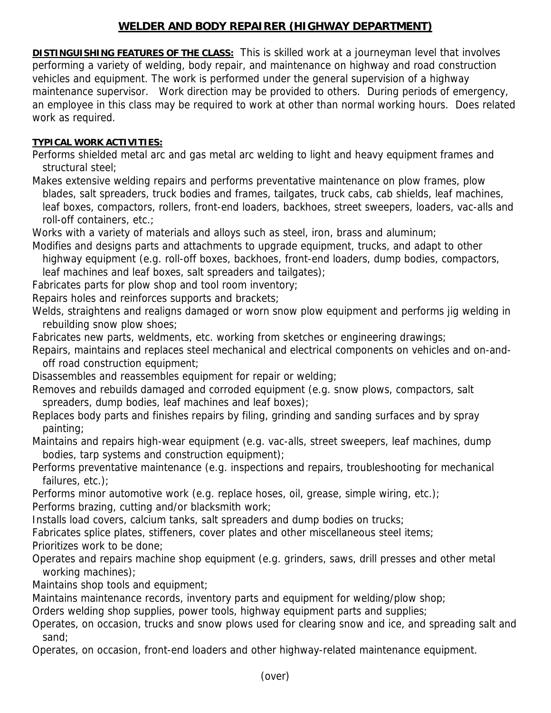## **WELDER AND BODY REPAIRER (HIGHWAY DEPARTMENT)**

**DISTINGUISHING FEATURES OF THE CLASS:** This is skilled work at a journeyman level that involves performing a variety of welding, body repair, and maintenance on highway and road construction vehicles and equipment. The work is performed under the general supervision of a highway maintenance supervisor. Work direction may be provided to others. During periods of emergency, an employee in this class may be required to work at other than normal working hours. Does related work as required.

## **TYPICAL WORK ACTIVITIES:**

Performs shielded metal arc and gas metal arc welding to light and heavy equipment frames and structural steel;

Makes extensive welding repairs and performs preventative maintenance on plow frames, plow blades, salt spreaders, truck bodies and frames, tailgates, truck cabs, cab shields, leaf machines, leaf boxes, compactors, rollers, front-end loaders, backhoes, street sweepers, loaders, vac-alls and roll-off containers, etc.;

Works with a variety of materials and alloys such as steel, iron, brass and aluminum;

Modifies and designs parts and attachments to upgrade equipment, trucks, and adapt to other highway equipment (e.g. roll-off boxes, backhoes, front-end loaders, dump bodies, compactors,

leaf machines and leaf boxes, salt spreaders and tailgates);

Fabricates parts for plow shop and tool room inventory;

Repairs holes and reinforces supports and brackets;

Welds, straightens and realigns damaged or worn snow plow equipment and performs jig welding in rebuilding snow plow shoes;

Fabricates new parts, weldments, etc. working from sketches or engineering drawings;

Repairs, maintains and replaces steel mechanical and electrical components on vehicles and on-and off road construction equipment;

Disassembles and reassembles equipment for repair or welding;

Removes and rebuilds damaged and corroded equipment (e.g. snow plows, compactors, salt spreaders, dump bodies, leaf machines and leaf boxes);

Replaces body parts and finishes repairs by filing, grinding and sanding surfaces and by spray painting;

Maintains and repairs high-wear equipment (e.g. vac-alls, street sweepers, leaf machines, dump bodies, tarp systems and construction equipment);

Performs preventative maintenance (e.g. inspections and repairs, troubleshooting for mechanical failures, etc.);

Performs minor automotive work (e.g. replace hoses, oil, grease, simple wiring, etc.);

Performs brazing, cutting and/or blacksmith work;

Installs load covers, calcium tanks, salt spreaders and dump bodies on trucks;

Fabricates splice plates, stiffeners, cover plates and other miscellaneous steel items;

Prioritizes work to be done;

Operates and repairs machine shop equipment (e.g. grinders, saws, drill presses and other metal working machines);

Maintains shop tools and equipment;

Maintains maintenance records, inventory parts and equipment for welding/plow shop;

Orders welding shop supplies, power tools, highway equipment parts and supplies;

Operates, on occasion, trucks and snow plows used for clearing snow and ice, and spreading salt and sand;

Operates, on occasion, front-end loaders and other highway-related maintenance equipment.